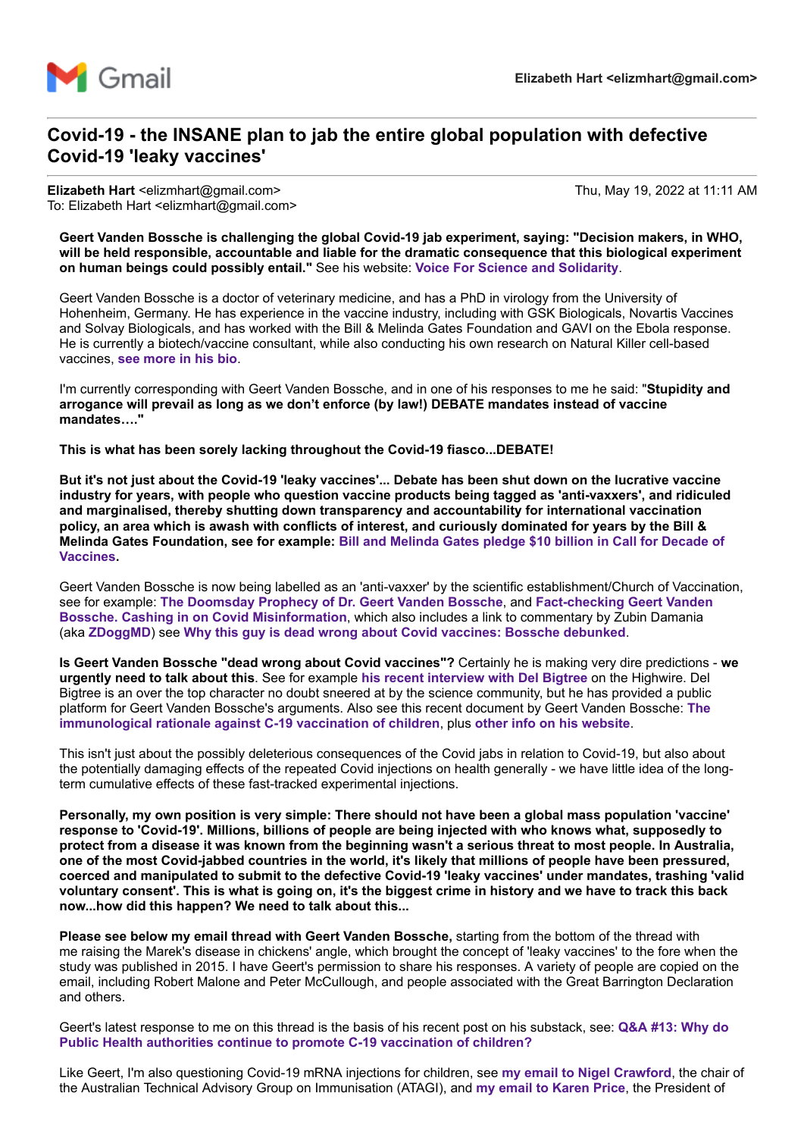

# **Covid-19 - the INSANE plan to jab the entire global population with defective Covid-19 'leaky vaccines'**

Elizabeth Hart <elizmhart@gmail.com> Thu, May 19, 2022 at 11:11 AM To: Elizabeth Hart <elizmhart@gmail.com>

**Geert Vanden Bossche is challenging the global Covid-19 jab experiment, saying: "Decision makers, in WHO, will be held responsible, accountable and liable for the dramatic consequence that this biological experiment on human beings could possibly entail."** See his website: **[Voice For Science and Solidarity](https://www.voiceforscienceandsolidarity.org/)**.

Geert Vanden Bossche is a doctor of veterinary medicine, and has a PhD in virology from the University of Hohenheim, Germany. He has experience in the vaccine industry, including with GSK Biologicals, Novartis Vaccines and Solvay Biologicals, and has worked with the Bill & Melinda Gates Foundation and GAVI on the Ebola response. He is currently a biotech/vaccine consultant, while also conducting his own research on Natural Killer cell-based vaccines, **[see more in his bio](https://www.voiceforscienceandsolidarity.org/authors/geert-vanden-bossche)**.

I'm currently corresponding with Geert Vanden Bossche, and in one of his responses to me he said: "**Stupidity and arrogance will prevail as long as we don't enforce (by law!) DEBATE mandates instead of vaccine mandates…."**

**This is what has been sorely lacking throughout the Covid-19 fiasco...DEBATE!**

**But it's not just about the Covid-19 'leaky vaccines'... Debate has been shut down on the lucrative vaccine industry for years, with people who question vaccine products being tagged as 'anti-vaxxers', and ridiculed and marginalised, thereby shutting down transparency and accountability for international vaccination policy, an area which is awash with conflicts of interest, and curiously dominated for years by the Bill & [Melinda Gates Foundation, see for example: Bill and Melinda Gates pledge \\$10 billion in Call for Decade of](https://www.gatesfoundation.org/ideas/media-center/press-releases/2010/01/bill-and-melinda-gates-pledge-$10-billion-in-call-for-decade-of-vaccines) Vaccines.**

Geert Vanden Bossche is now being labelled as an 'anti-vaxxer' by the scientific establishment/Church of Vaccination, see for example: **[The Doomsday Prophecy of Dr. Geert Vanden Bossche](https://www.mcgill.ca/oss/article/covid-19-critical-thinking-pseudoscience/doomsday-prophecy-dr-geert-vanden-bossche)**, and **Fact-checking Geert Vanden Bossche. Cashing in on Covid Misinformation**[, which also includes a link to commentary by Zubin Damania](https://medika.life/fact-checking-geert-vanden-bossche-cashing-in-on-covid-misinformation/) (aka **[ZDoggMD](https://www.youtube.com/c/ZDoggMD)**) see **[Why this guy is dead wrong about Covid vaccines: Bossche debunked](https://www.youtube.com/watch?v=NEyQi__zTuo)**.

**Is Geert Vanden Bossche "dead wrong about Covid vaccines"?** Certainly he is making very dire predictions - **we urgently need to talk about this**. See for example **[his recent interview with Del Bigtree](https://www.voiceforscienceandsolidarity.org/videos-and-interviews/the-highwire-interview-the-vanden-bossche-warning)** on the Highwire. Del Bigtree is an over the top character no doubt sneered at by the science community, but he has provided a public [platform for Geert Vanden Bossche's arguments. Also see this recent document by Geert Vanden Bossche:](https://uploads-ssl.webflow.com/616004c52e87ed08692f5692/6273f39891505ea440738cdf_The%2Bimmunological%2Brationale%2Bagainst%2BC-19%2Bvaccination%2Bof%2Bchildren(1).pdf) **The immunological rationale against C-19 vaccination of children**, plus **[other info on his website](https://www.voiceforscienceandsolidarity.org/blog/scientific-blog)**.

This isn't just about the possibly deleterious consequences of the Covid jabs in relation to Covid-19, but also about the potentially damaging effects of the repeated Covid injections on health generally - we have little idea of the longterm cumulative effects of these fast-tracked experimental injections.

**Personally, my own position is very simple: There should not have been a global mass population 'vaccine' response to 'Covid-19'. Millions, billions of people are being injected with who knows what, supposedly to protect from a disease it was known from the beginning wasn't a serious threat to most people. In Australia, one of the most Covid-jabbed countries in the world, it's likely that millions of people have been pressured, coerced and manipulated to submit to the defective Covid-19 'leaky vaccines' under mandates, trashing 'valid voluntary consent'. This is what is going on, it's the biggest crime in history and we have to track this back now...how did this happen? We need to talk about this...**

**Please see below my email thread with Geert Vanden Bossche,** starting from the bottom of the thread with me raising the Marek's disease in chickens' angle, which brought the concept of 'leaky vaccines' to the fore when the study was published in 2015. I have Geert's permission to share his responses. A variety of people are copied on the email, including Robert Malone and Peter McCullough, and people associated with the Great Barrington Declaration and others.

[Geert's latest response to me on this thread is the basis of his recent post on his substack, see:](https://voiceforscienceandsolidarity.substack.com/p/q-and-a-13-why-do-public-health-authorities?) **Q&A #13: Why do Public Health authorities continue to promote C-19 vaccination of children?**

Like Geert, I'm also questioning Covid-19 mRNA injections for children, see **[my email to Nigel Crawford](https://vaccinationispolitical.files.wordpress.com/2022/04/why-does-atagi-recommend-covid-19-mrna-injections-for-all-children-aged-5-to-11-years.pdf)**, the chair of the Australian Technical Advisory Group on Immunisation (ATAGI), and **[my email to Karen Price](https://vaccinationispolitical.files.wordpress.com/2022/05/why-does-atagi-recommend-covid-19-mrna-injections-for-all-children-aged-5-to-11-years_-email-to-karen-price-president-of-the-racgp.pdf)**, the President of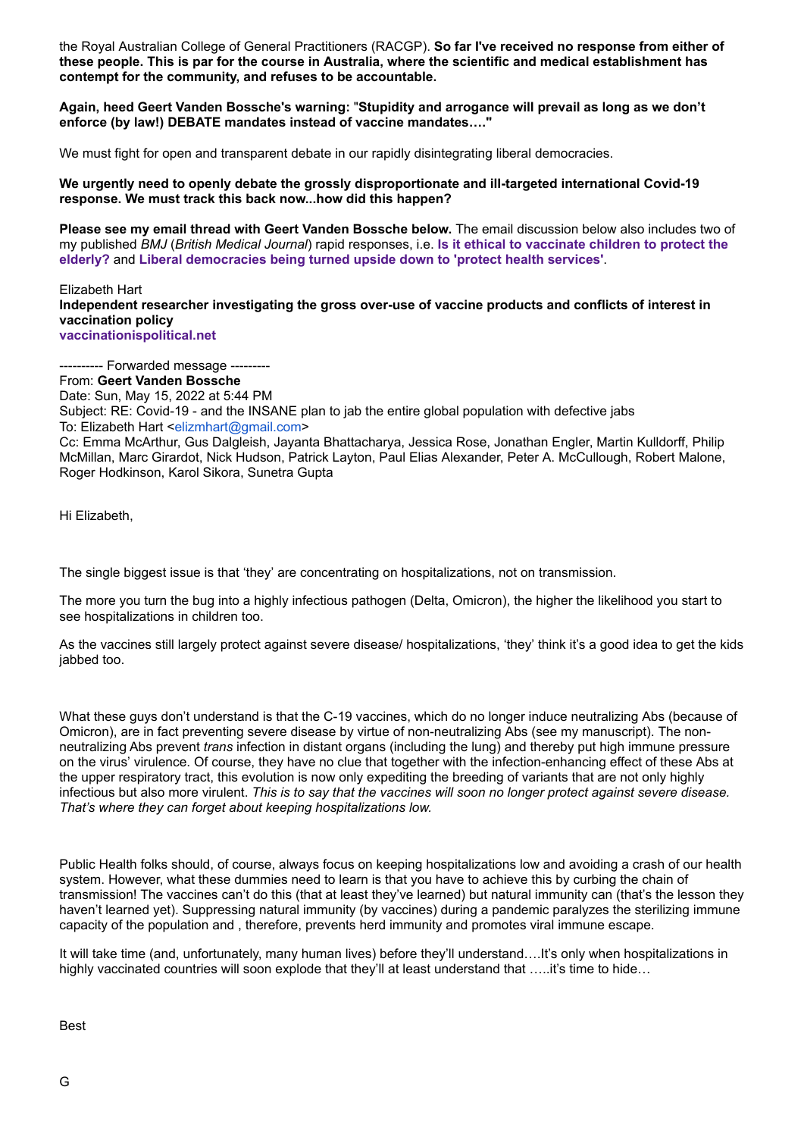the Royal Australian College of General Practitioners (RACGP). **So far I've received no response from either of these people. This is par for the course in Australia, where the scientific and medical establishment has contempt for the community, and refuses to be accountable.**

**Again, heed Geert Vanden Bossche's warning:** "**Stupidity and arrogance will prevail as long as we don't enforce (by law!) DEBATE mandates instead of vaccine mandates…."**

We must fight for open and transparent debate in our rapidly disintegrating liberal democracies.

**We urgently need to openly debate the grossly disproportionate and ill-targeted international Covid-19 response. We must track this back now...how did this happen?**

**Please see my email thread with Geert Vanden Bossche below.** The email discussion below also includes two of my published *BMJ* (*British Medical Journal*) rapid responses, i.e. **Is it ethical to vaccinate children to protect the elderly?** and **[Liberal democracies being turned upside down to 'protect health services'](https://www.bmj.com/content/364/bmj.l108/rr-4)**.

Elizabeth Hart **Independent researcher investigating the gross over-use of vaccine products and conflicts of interest in vaccination policy [vaccinationispolitical.net](http://vaccinationispolitical.net/)**

------- Forwarded message ----From: **Geert Vanden Bossche** Date: Sun, May 15, 2022 at 5:44 PM Subject: RE: Covid-19 - and the INSANE plan to jab the entire global population with defective jabs To: Elizabeth Hart <[elizmhart@gmail.com](mailto:elizmhart@gmail.com)> Cc: Emma McArthur, Gus Dalgleish, Jayanta Bhattacharya, Jessica Rose, Jonathan Engler, Martin Kulldorff, Philip McMillan, Marc Girardot, Nick Hudson, Patrick Layton, Paul Elias Alexander, Peter A. McCullough, Robert Malone, Roger Hodkinson, Karol Sikora, Sunetra Gupta

Hi Elizabeth,

The single biggest issue is that 'they' are concentrating on hospitalizations, not on transmission.

The more you turn the bug into a highly infectious pathogen (Delta, Omicron), the higher the likelihood you start to see hospitalizations in children too.

As the vaccines still largely protect against severe disease/ hospitalizations, 'they' think it's a good idea to get the kids jabbed too.

What these guys don't understand is that the C-19 vaccines, which do no longer induce neutralizing Abs (because of Omicron), are in fact preventing severe disease by virtue of non-neutralizing Abs (see my manuscript). The nonneutralizing Abs prevent *trans* infection in distant organs (including the lung) and thereby put high immune pressure on the virus' virulence. Of course, they have no clue that together with the infection-enhancing effect of these Abs at the upper respiratory tract, this evolution is now only expediting the breeding of variants that are not only highly infectious but also more virulent. *This is to say that the vaccines will soon no longer protect against severe disease. That's where they can forget about keeping hospitalizations low.*

Public Health folks should, of course, always focus on keeping hospitalizations low and avoiding a crash of our health system. However, what these dummies need to learn is that you have to achieve this by curbing the chain of transmission! The vaccines can't do this (that at least they've learned) but natural immunity can (that's the lesson they haven't learned yet). Suppressing natural immunity (by vaccines) during a pandemic paralyzes the sterilizing immune capacity of the population and , therefore, prevents herd immunity and promotes viral immune escape.

It will take time (and, unfortunately, many human lives) before they'll understand….It's only when hospitalizations in highly vaccinated countries will soon explode that they'll at least understand that …..it's time to hide...

Best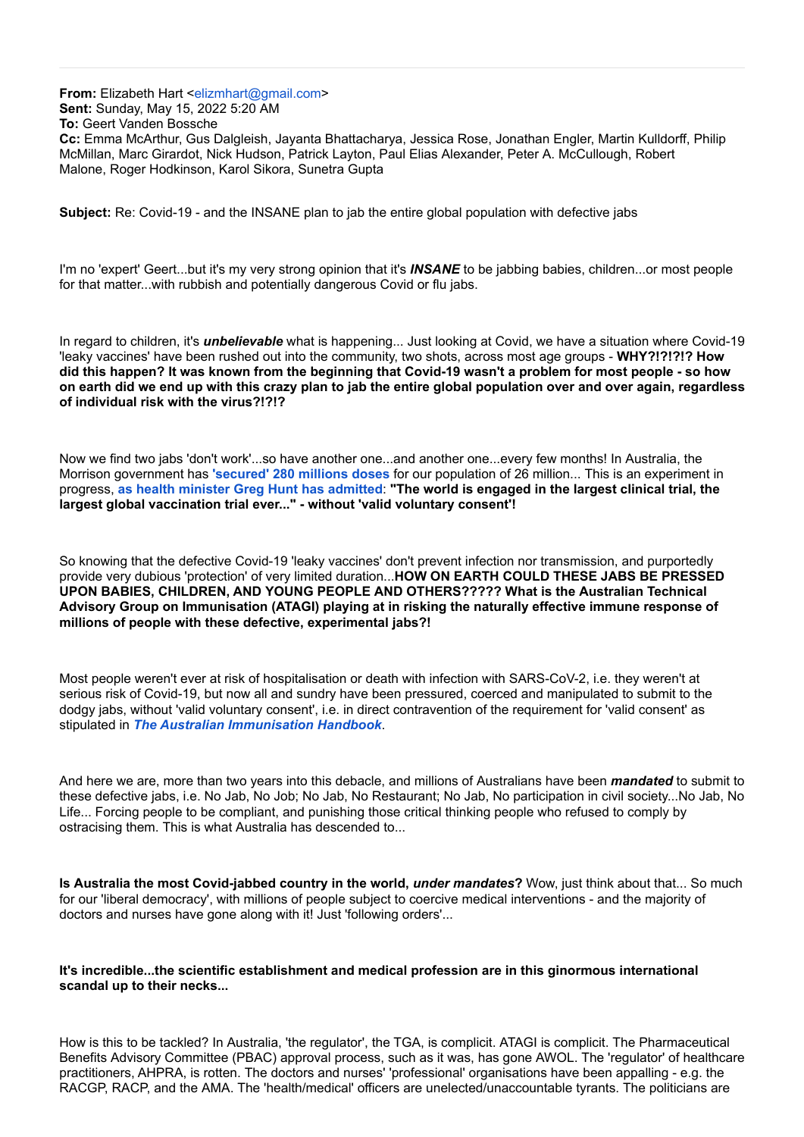**From:** Elizabeth Hart <[elizmhart@gmail.com>](mailto:elizmhart@gmail.com) **Sent:** Sunday, May 15, 2022 5:20 AM **To:** Geert Vanden Bossche **Cc:** Emma McArthur, Gus Dalgleish, Jayanta Bhattacharya, Jessica Rose, Jonathan Engler, Martin Kulldorff, Philip McMillan, Marc Girardot, Nick Hudson, Patrick Layton, Paul Elias Alexander, Peter A. McCullough, Robert Malone, Roger Hodkinson, Karol Sikora, Sunetra Gupta

**Subject:** Re: Covid-19 - and the INSANE plan to jab the entire global population with defective jabs

I'm no 'expert' Geert...but it's my very strong opinion that it's *INSANE* to be jabbing babies, children...or most people for that matter...with rubbish and potentially dangerous Covid or flu jabs.

In regard to children, it's *unbelievable* what is happening... Just looking at Covid, we have a situation where Covid-19 'leaky vaccines' have been rushed out into the community, two shots, across most age groups - **WHY?!?!?!? How did this happen? It was known from the beginning that Covid-19 wasn't a problem for most people - so how on earth did we end up with this crazy plan to jab the entire global population over and over again, regardless of individual risk with the virus?!?!?**

Now we find two jabs 'don't work'...so have another one...and another one...every few months! In Australia, the Morrison government has **'secured' [280 millions doses](https://nam12.safelinks.protection.outlook.com/?url=https%3A%2F%2Fwww.pm.gov.au%2Fmedia%2Faustralia-secures-additional-pfizer-biontech-vaccine-2022-and-2023&data=05%7C01%7C%7Caa2b6a088edc4ee07b0308da3621d875%7C84df9e7fe9f640afb435aaaaaaaaaaaa%7C1%7C0%7C637881816312232665%7CUnknown%7CTWFpbGZsb3d8eyJWIjoiMC4wLjAwMDAiLCJQIjoiV2luMzIiLCJBTiI6Ik1haWwiLCJXVCI6Mn0%3D%7C3000%7C%7C%7C&sdata=qHaE82m7LcufI46iaFPdVMK7L5KN7dp1DtPnmAg1j78%3D&reserved=0)** for our population of 26 million... This is an experiment in progress, **as [health minister Greg Hunt has admitted](https://nam12.safelinks.protection.outlook.com/?url=https%3A%2F%2Fwww.health.gov.au%2Fministers%2Fthe-hon-greg-hunt-mp%2Fmedia%2Finterview-with-david-speers-on-abc-insiders-on-the-covid-19-vaccine-rollout&data=05%7C01%7C%7Caa2b6a088edc4ee07b0308da3621d875%7C84df9e7fe9f640afb435aaaaaaaaaaaa%7C1%7C0%7C637881816312232665%7CUnknown%7CTWFpbGZsb3d8eyJWIjoiMC4wLjAwMDAiLCJQIjoiV2luMzIiLCJBTiI6Ik1haWwiLCJXVCI6Mn0%3D%7C3000%7C%7C%7C&sdata=0zhHCccyMaQ7RO7sidk5WO7FJgTkqO6r8h6ChyO%2Fd2o%3D&reserved=0)**: **"The world is engaged in the largest clinical trial, the largest global vaccination trial ever..." - without 'valid voluntary consent'!**

So knowing that the defective Covid-19 'leaky vaccines' don't prevent infection nor transmission, and purportedly provide very dubious 'protection' of very limited duration...**HOW ON EARTH COULD THESE JABS BE PRESSED UPON BABIES, CHILDREN, AND YOUNG PEOPLE AND OTHERS????? What is the Australian Technical Advisory Group on Immunisation (ATAGI) playing at in risking the naturally effective immune response of millions of people with these defective, experimental jabs?!**

Most people weren't ever at risk of hospitalisation or death with infection with SARS-CoV-2, i.e. they weren't at serious risk of Covid-19, but now all and sundry have been pressured, coerced and manipulated to submit to the dodgy jabs, without 'valid voluntary consent', i.e. in direct contravention of the requirement for 'valid consent' as stipulated in *The [Australian Immunisation Handbook](https://nam12.safelinks.protection.outlook.com/?url=https%3A%2F%2Fimmunisationhandbook.health.gov.au%2Fvaccination-procedures%2Fpreparing-for-vaccination&data=05%7C01%7C%7Caa2b6a088edc4ee07b0308da3621d875%7C84df9e7fe9f640afb435aaaaaaaaaaaa%7C1%7C0%7C637881816312232665%7CUnknown%7CTWFpbGZsb3d8eyJWIjoiMC4wLjAwMDAiLCJQIjoiV2luMzIiLCJBTiI6Ik1haWwiLCJXVCI6Mn0%3D%7C3000%7C%7C%7C&sdata=gX8yuLv8ZVuJKvvvwbFtObJzIVDIb8%2FSeKeWzv3euW4%3D&reserved=0)*.

And here we are, more than two years into this debacle, and millions of Australians have been *mandated* to submit to these defective jabs, i.e. No Jab, No Job; No Jab, No Restaurant; No Jab, No participation in civil society...No Jab, No Life... Forcing people to be compliant, and punishing those critical thinking people who refused to comply by ostracising them. This is what Australia has descended to...

**Is Australia the most Covid-jabbed country in the world,** *under mandates***?** Wow, just think about that... So much for our 'liberal democracy', with millions of people subject to coercive medical interventions - and the majority of doctors and nurses have gone along with it! Just 'following orders'...

#### **It's incredible...the scientific establishment and medical profession are in this ginormous international scandal up to their necks...**

How is this to be tackled? In Australia, 'the regulator', the TGA, is complicit. ATAGI is complicit. The Pharmaceutical Benefits Advisory Committee (PBAC) approval process, such as it was, has gone AWOL. The 'regulator' of healthcare practitioners, AHPRA, is rotten. The doctors and nurses' 'professional' organisations have been appalling - e.g. the RACGP, RACP, and the AMA. The 'health/medical' officers are unelected/unaccountable tyrants. The politicians are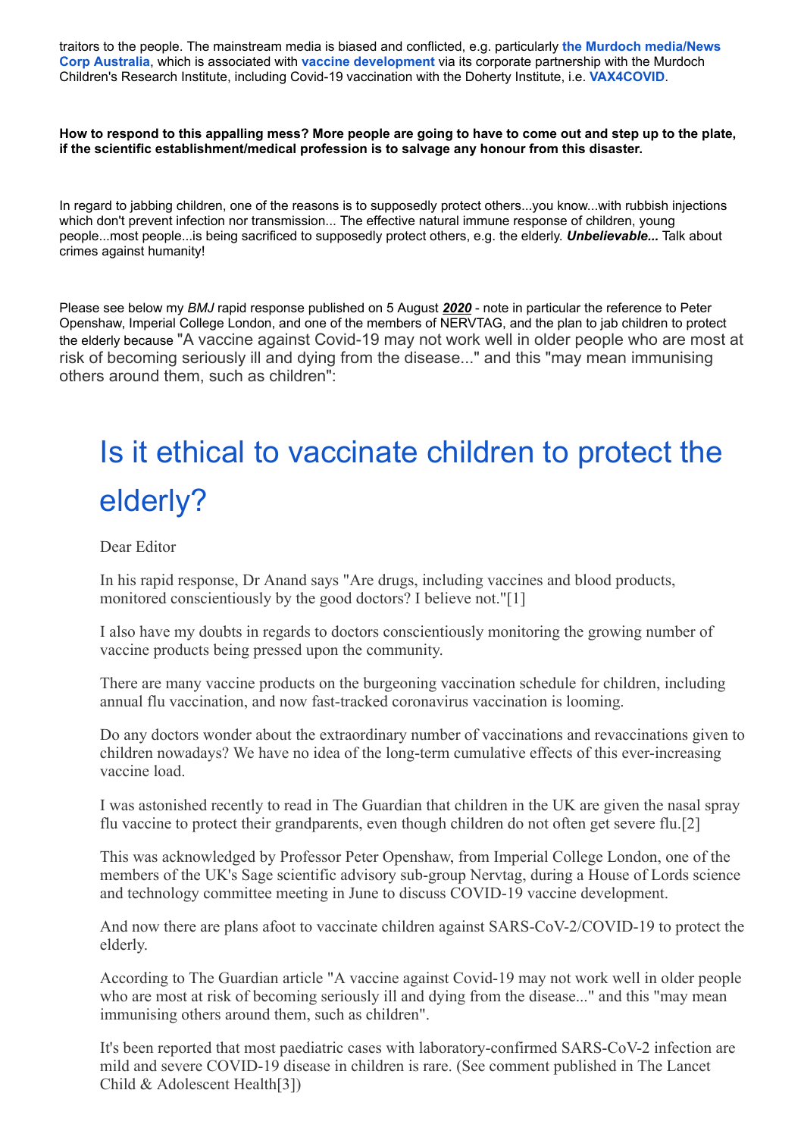traitors to the people. The mainstream media is biased and conflicted, e.g. particularly **the Murdoch media/News Corp Australia**, which is associated with **vaccine [development](https://nam12.safelinks.protection.outlook.com/?url=https%3A%2F%2Fwww.mcri.edu.au%2Fresearch%2Fthemes%2Finfection-and-immunity%2Fvaccine-and-immunisation-research-group-virgo&data=05%7C01%7C%7Caa2b6a088edc4ee07b0308da3621d875%7C84df9e7fe9f640afb435aaaaaaaaaaaa%7C1%7C0%7C637881816312232665%7CUnknown%7CTWFpbGZsb3d8eyJWIjoiMC4wLjAwMDAiLCJQIjoiV2luMzIiLCJBTiI6Ik1haWwiLCJXVCI6Mn0%3D%7C3000%7C%7C%7C&sdata=0yiwKuG1UoLAgmEwpYjTYDtZQwUBzTJ0uW6ylHeERho%3D&reserved=0)** [via its corporate partnership with the Murdoch](https://nam12.safelinks.protection.outlook.com/?url=https%3A%2F%2Fwww.mcri.edu.au%2Fcorporate-partners&data=05%7C01%7C%7Caa2b6a088edc4ee07b0308da3621d875%7C84df9e7fe9f640afb435aaaaaaaaaaaa%7C1%7C0%7C637881816312232665%7CUnknown%7CTWFpbGZsb3d8eyJWIjoiMC4wLjAwMDAiLCJQIjoiV2luMzIiLCJBTiI6Ik1haWwiLCJXVCI6Mn0%3D%7C3000%7C%7C%7C&sdata=o5%2FXI4hCfKM6RRwKvyYNmp07efc8eSgMtWtAoL6yW04%3D&reserved=0) Children's Research Institute, including Covid-19 vaccination with the Doherty Institute, i.e. **[VAX4COVID](https://nam12.safelinks.protection.outlook.com/?url=https%3A%2F%2Fvaxforcovid.org%2F&data=05%7C01%7C%7Caa2b6a088edc4ee07b0308da3621d875%7C84df9e7fe9f640afb435aaaaaaaaaaaa%7C1%7C0%7C637881816312232665%7CUnknown%7CTWFpbGZsb3d8eyJWIjoiMC4wLjAwMDAiLCJQIjoiV2luMzIiLCJBTiI6Ik1haWwiLCJXVCI6Mn0%3D%7C3000%7C%7C%7C&sdata=2uAOdMrR6F2wsXBJt3%2FZyjSuOduypGQTCNwEqYGj0YY%3D&reserved=0)**.

**How to respond to this appalling mess? More people are going to have to come out and step up to the plate, if the scientific establishment/medical profession is to salvage any honour from this disaster.**

In regard to jabbing children, one of the reasons is to supposedly protect others...you know...with rubbish injections which don't prevent infection nor transmission... The effective natural immune response of children, young people...most people...is being sacrificed to supposedly protect others, e.g. the elderly. *Unbelievable...* Talk about crimes against humanity!

Please see below my *BMJ* rapid response published on 5 August *2020* - note in particular the reference to Peter Openshaw, Imperial College London, and one of the members of NERVTAG, and the plan to jab children to protect the elderly because "A vaccine against Covid-19 may not work well in older people who are most at risk of becoming seriously ill and dying from the disease..." and this "may mean immunising others around them, such as children":

# Is it ethical to [vaccinate](https://nam12.safelinks.protection.outlook.com/?url=https%3A%2F%2Fwww.bmj.com%2Fcontent%2F364%2Fbmj.l108%2Frr-4&data=05%7C01%7C%7Caa2b6a088edc4ee07b0308da3621d875%7C84df9e7fe9f640afb435aaaaaaaaaaaa%7C1%7C0%7C637881816312232665%7CUnknown%7CTWFpbGZsb3d8eyJWIjoiMC4wLjAwMDAiLCJQIjoiV2luMzIiLCJBTiI6Ik1haWwiLCJXVCI6Mn0%3D%7C3000%7C%7C%7C&sdata=eUGstR%2F3q3e64srqzU0xhucZYytouwJHt1xIsIzTPE0%3D&reserved=0) children to protect the elderly?

#### Dear Editor

In his rapid response, Dr Anand says "Are drugs, including vaccines and blood products, monitored conscientiously by the good doctors? I believe not."[1]

I also have my doubts in regards to doctors conscientiously monitoring the growing number of vaccine products being pressed upon the community.

There are many vaccine products on the burgeoning vaccination schedule for children, including annual flu vaccination, and now fast-tracked coronavirus vaccination is looming.

Do any doctors wonder about the extraordinary number of vaccinations and revaccinations given to children nowadays? We have no idea of the long-term cumulative effects of this ever-increasing vaccine load.

I was astonished recently to read in The Guardian that children in the UK are given the nasal spray flu vaccine to protect their grandparents, even though children do not often get severe flu.[2]

This was acknowledged by Professor Peter Openshaw, from Imperial College London, one of the members of the UK's Sage scientific advisory sub-group Nervtag, during a House of Lords science and technology committee meeting in June to discuss COVID-19 vaccine development.

And now there are plans afoot to vaccinate children against SARS-CoV-2/COVID-19 to protect the elderly.

According to The Guardian article "A vaccine against Covid-19 may not work well in older people who are most at risk of becoming seriously ill and dying from the disease..." and this "may mean immunising others around them, such as children".

It's been reported that most paediatric cases with laboratory-confirmed SARS-CoV-2 infection are mild and severe COVID-19 disease in children is rare. (See comment published in The Lancet Child & Adolescent Health[3])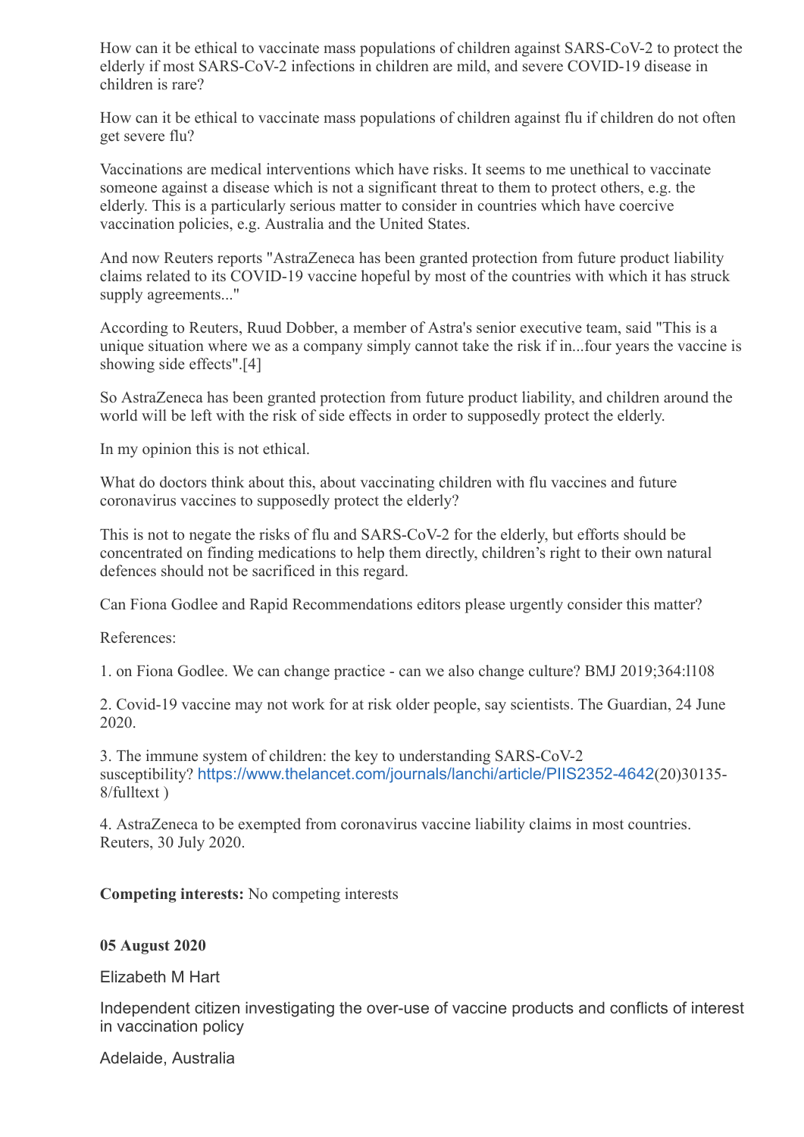How can it be ethical to vaccinate mass populations of children against SARS-CoV-2 to protect the elderly if most SARS-CoV-2 infections in children are mild, and severe COVID-19 disease in children is rare?

How can it be ethical to vaccinate mass populations of children against flu if children do not often get severe flu?

Vaccinations are medical interventions which have risks. It seems to me unethical to vaccinate someone against a disease which is not a significant threat to them to protect others, e.g. the elderly. This is a particularly serious matter to consider in countries which have coercive vaccination policies, e.g. Australia and the United States.

And now Reuters reports "AstraZeneca has been granted protection from future product liability claims related to its COVID-19 vaccine hopeful by most of the countries with which it has struck supply agreements..."

According to Reuters, Ruud Dobber, a member of Astra's senior executive team, said "This is a unique situation where we as a company simply cannot take the risk if in...four years the vaccine is showing side effects".[4]

So AstraZeneca has been granted protection from future product liability, and children around the world will be left with the risk of side effects in order to supposedly protect the elderly.

In my opinion this is not ethical.

What do doctors think about this, about vaccinating children with flu vaccines and future coronavirus vaccines to supposedly protect the elderly?

This is not to negate the risks of flu and SARS-CoV-2 for the elderly, but efforts should be concentrated on finding medications to help them directly, children's right to their own natural defences should not be sacrificed in this regard.

Can Fiona Godlee and Rapid Recommendations editors please urgently consider this matter?

References:

1. on Fiona Godlee. We can change practice - can we also change culture? BMJ 2019;364:l108

2. Covid-19 vaccine may not work for at risk older people, say scientists. The Guardian, 24 June 2020.

3. The immune system of children: the key to understanding SARS-CoV-2 susceptibility? [https://www.thelancet.com/journals/lanchi/article/PIIS2352-4642](https://nam12.safelinks.protection.outlook.com/?url=https%3A%2F%2Fwww.thelancet.com%2Fjournals%2Flanchi%2Farticle%2FPIIS2352-4642&data=05%7C01%7C%7Caa2b6a088edc4ee07b0308da3621d875%7C84df9e7fe9f640afb435aaaaaaaaaaaa%7C1%7C0%7C637881816312232665%7CUnknown%7CTWFpbGZsb3d8eyJWIjoiMC4wLjAwMDAiLCJQIjoiV2luMzIiLCJBTiI6Ik1haWwiLCJXVCI6Mn0%3D%7C3000%7C%7C%7C&sdata=G7pD3FOy04dT0k1xLziSvQ6Vdo0ldNYG3ZxRAPWnzjs%3D&reserved=0)(20)30135- 8/fulltext )

4. AstraZeneca to be exempted from coronavirus vaccine liability claims in most countries. Reuters, 30 July 2020.

**Competing interests:** No competing interests

### **05 August 2020**

Elizabeth M Hart

Independent citizen investigating the over-use of vaccine products and conflicts of interest in vaccination policy

Adelaide, Australia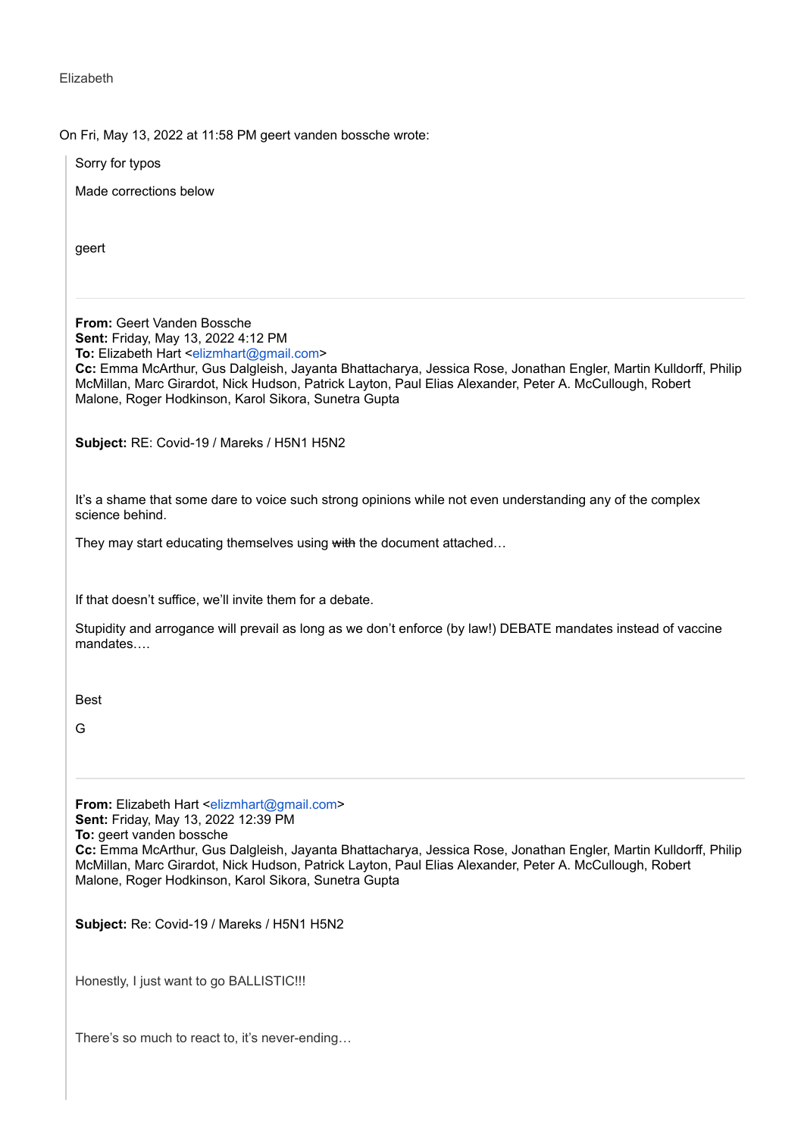Elizabeth

On Fri, May 13, 2022 at 11:58 PM geert vanden bossche wrote:

Sorry for typos

Made corrections below

geert

**From:** Geert Vanden Bossche **Sent:** Friday, May 13, 2022 4:12 PM **To:** Elizabeth Hart [<elizmhart@gmail.com>](mailto:elizmhart@gmail.com) **Cc:** Emma McArthur, Gus Dalgleish, Jayanta Bhattacharya, Jessica Rose, Jonathan Engler, Martin Kulldorff, Philip McMillan, Marc Girardot, Nick Hudson, Patrick Layton, Paul Elias Alexander, Peter A. McCullough, Robert Malone, Roger Hodkinson, Karol Sikora, Sunetra Gupta

**Subject:** RE: Covid-19 / Mareks / H5N1 H5N2

It's a shame that some dare to voice such strong opinions while not even understanding any of the complex science behind.

They may start educating themselves using with the document attached...

If that doesn't suffice, we'll invite them for a debate.

Stupidity and arrogance will prevail as long as we don't enforce (by law!) DEBATE mandates instead of vaccine mandates….

Best

G

**From:** Elizabeth Hart <[elizmhart@gmail.com>](mailto:elizmhart@gmail.com) **Sent:** Friday, May 13, 2022 12:39 PM **To:** geert vanden bossche **Cc:** Emma McArthur, Gus Dalgleish, Jayanta Bhattacharya, Jessica Rose, Jonathan Engler, Martin Kulldorff, Philip McMillan, Marc Girardot, Nick Hudson, Patrick Layton, Paul Elias Alexander, Peter A. McCullough, Robert Malone, Roger Hodkinson, Karol Sikora, Sunetra Gupta

**Subject:** Re: Covid-19 / Mareks / H5N1 H5N2

Honestly, I just want to go BALLISTIC!!!

There's so much to react to, it's never-ending…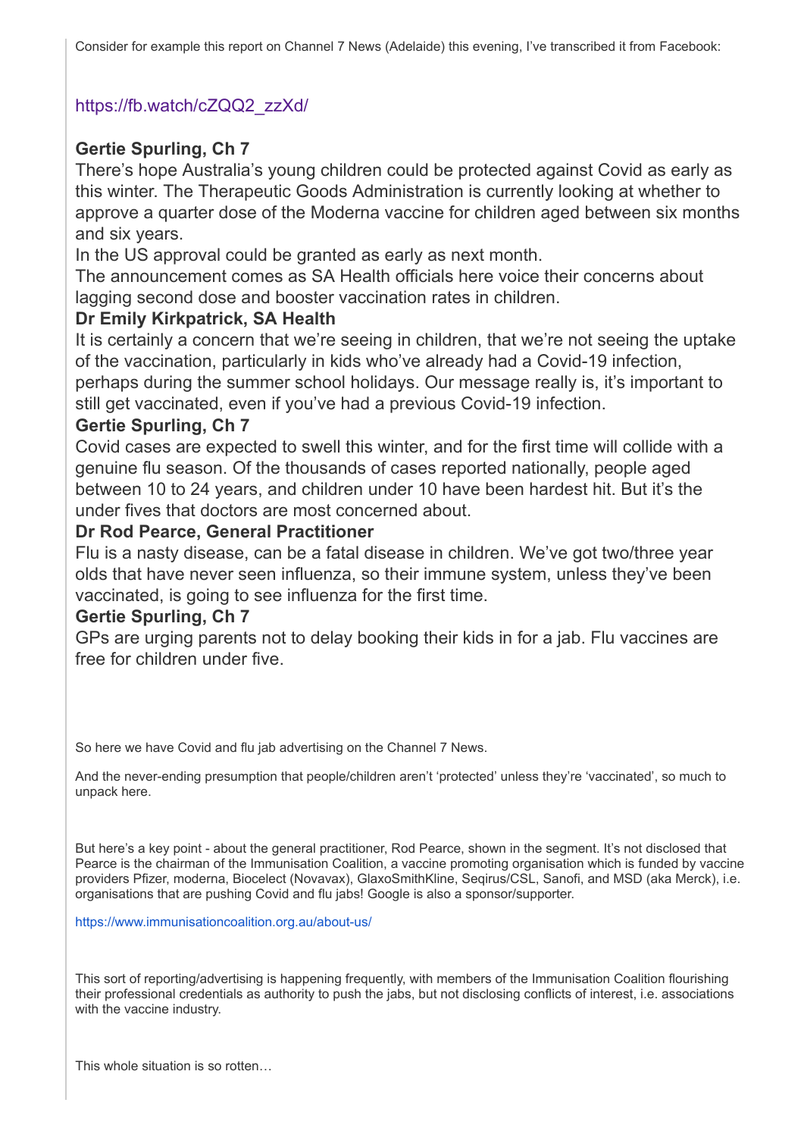# [https://fb.watch/cZQQ2\\_zzXd/](https://nam12.safelinks.protection.outlook.com/?url=https%3A%2F%2Ffb.watch%2FcZQQ2_zzXd%2F&data=05%7C01%7C%7Caa2b6a088edc4ee07b0308da3621d875%7C84df9e7fe9f640afb435aaaaaaaaaaaa%7C1%7C0%7C637881816312232665%7CUnknown%7CTWFpbGZsb3d8eyJWIjoiMC4wLjAwMDAiLCJQIjoiV2luMzIiLCJBTiI6Ik1haWwiLCJXVCI6Mn0%3D%7C3000%7C%7C%7C&sdata=K89dHyeYtUa%2FqAS39dscTv5x%2Fpm0KMzpHBfnNHd6y40%3D&reserved=0)

# **Gertie Spurling, Ch 7**

There's hope Australia's young children could be protected against Covid as early as this winter. The Therapeutic Goods Administration is currently looking at whether to approve a quarter dose of the Moderna vaccine for children aged between six months and six years.

In the US approval could be granted as early as next month.

The announcement comes as SA Health officials here voice their concerns about lagging second dose and booster vaccination rates in children.

## **Dr Emily Kirkpatrick, SA Health**

It is certainly a concern that we're seeing in children, that we're not seeing the uptake of the vaccination, particularly in kids who've already had a Covid-19 infection, perhaps during the summer school holidays. Our message really is, it's important to still get vaccinated, even if you've had a previous Covid-19 infection.

## **Gertie Spurling, Ch 7**

Covid cases are expected to swell this winter, and for the first time will collide with a genuine flu season. Of the thousands of cases reported nationally, people aged between 10 to 24 years, and children under 10 have been hardest hit. But it's the under fives that doctors are most concerned about.

## **Dr Rod Pearce, General Practitioner**

Flu is a nasty disease, can be a fatal disease in children. We've got two/three year olds that have never seen influenza, so their immune system, unless they've been vaccinated, is going to see influenza for the first time.

## **Gertie Spurling, Ch 7**

GPs are urging parents not to delay booking their kids in for a jab. Flu vaccines are free for children under five.

So here we have Covid and flu jab advertising on the Channel 7 News.

And the never-ending presumption that people/children aren't 'protected' unless they're 'vaccinated', so much to unpack here.

But here's a key point - about the general practitioner, Rod Pearce, shown in the segment. It's not disclosed that Pearce is the chairman of the Immunisation Coalition, a vaccine promoting organisation which is funded by vaccine providers Pfizer, moderna, Biocelect (Novavax), GlaxoSmithKline, Seqirus/CSL, Sanofi, and MSD (aka Merck), i.e. organisations that are pushing Covid and flu jabs! Google is also a sponsor/supporter.

[https://www.immunisationcoalition.org.au/about-us/](https://nam12.safelinks.protection.outlook.com/?url=https%3A%2F%2Fwww.immunisationcoalition.org.au%2Fabout-us%2F&data=05%7C01%7C%7Caa2b6a088edc4ee07b0308da3621d875%7C84df9e7fe9f640afb435aaaaaaaaaaaa%7C1%7C0%7C637881816312232665%7CUnknown%7CTWFpbGZsb3d8eyJWIjoiMC4wLjAwMDAiLCJQIjoiV2luMzIiLCJBTiI6Ik1haWwiLCJXVCI6Mn0%3D%7C3000%7C%7C%7C&sdata=YOckJNd55XmFBRfDlD8hOEaFdNntQDW5qRqDsAxKQM0%3D&reserved=0)

This sort of reporting/advertising is happening frequently, with members of the Immunisation Coalition flourishing their professional credentials as authority to push the jabs, but not disclosing conflicts of interest, i.e. associations with the vaccine industry.

This whole situation is so rotten…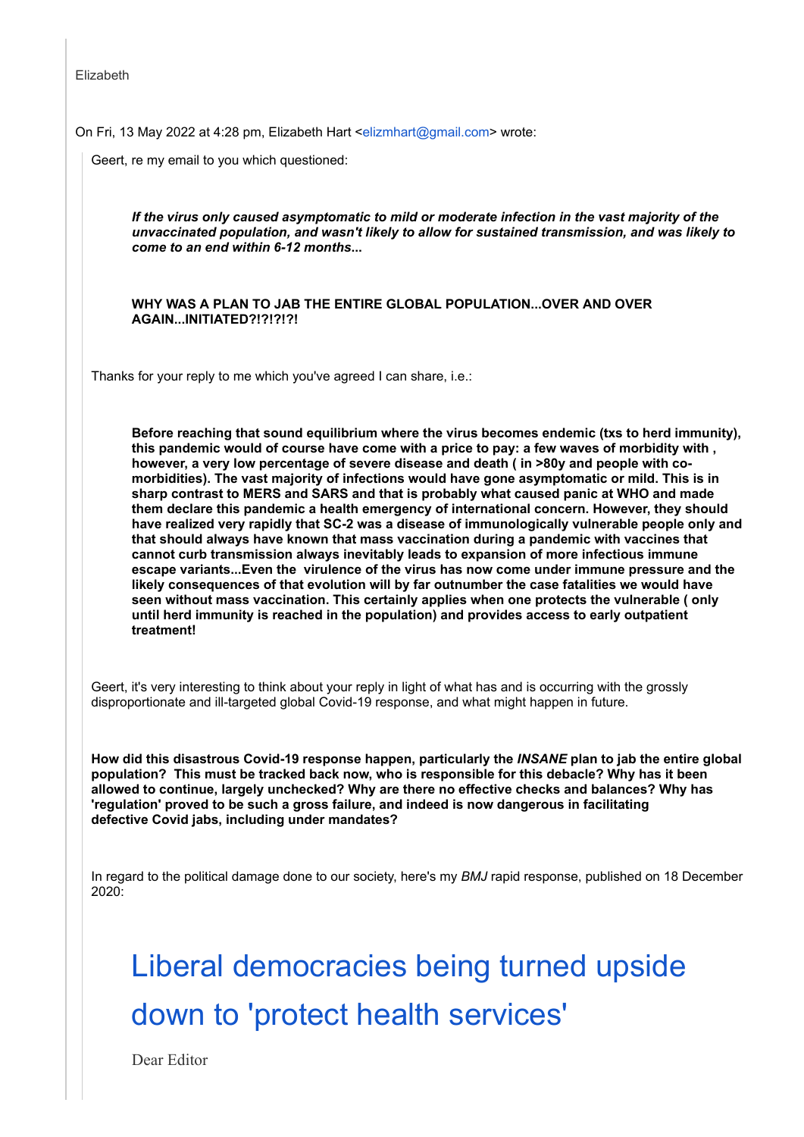Elizabeth

On Fri, 13 May 2022 at 4:28 pm, Elizabeth Hart [<elizmhart@gmail.com](mailto:elizmhart@gmail.com)> wrote:

Geert, re my email to you which questioned:

*If the virus only caused asymptomatic to mild or moderate infection in the vast majority of the unvaccinated population, and wasn't likely to allow for sustained transmission, and was likely to come to an end within 6-12 months***...**

**WHY WAS A PLAN TO JAB THE ENTIRE GLOBAL POPULATION...OVER AND OVER AGAIN...INITIATED?!?!?!?!**

Thanks for your reply to me which you've agreed I can share, i.e.:

**Before reaching that sound equilibrium where the virus becomes endemic (txs to herd immunity), this pandemic would of course have come with a price to pay: a few waves of morbidity with , however, a very low percentage of severe disease and death ( in >80y and people with comorbidities). The vast majority of infections would have gone asymptomatic or mild. This is in sharp contrast to MERS and SARS and that is probably what caused panic at WHO and made them declare this pandemic a health emergency of international concern. However, they should have realized very rapidly that SC-2 was a disease of immunologically vulnerable people only and that should always have known that mass vaccination during a pandemic with vaccines that cannot curb transmission always inevitably leads to expansion of more infectious immune escape variants...Even the virulence of the virus has now come under immune pressure and the likely consequences of that evolution will by far outnumber the case fatalities we would have seen without mass vaccination. This certainly applies when one protects the vulnerable ( only until herd immunity is reached in the population) and provides access to early outpatient treatment!**

Geert, it's very interesting to think about your reply in light of what has and is occurring with the grossly disproportionate and ill-targeted global Covid-19 response, and what might happen in future.

**How did this disastrous Covid-19 response happen, particularly the** *INSANE* **plan to jab the entire global population? This must be tracked back now, who is responsible for this debacle? Why has it been allowed to continue, largely unchecked? Why are there no effective checks and balances? Why has 'regulation' proved to be such a gross failure, and indeed is now dangerous in facilitating defective Covid jabs, including under mandates?**

In regard to the political damage done to our society, here's my *BMJ* rapid response, published on 18 December 2020:

Liberal [democracies](https://nam12.safelinks.protection.outlook.com/?url=https%3A%2F%2Fwww.bmj.com%2Fcontent%2F371%2Fbmj.m4847%2Frr-16&data=05%7C01%7C%7Caa2b6a088edc4ee07b0308da3621d875%7C84df9e7fe9f640afb435aaaaaaaaaaaa%7C1%7C0%7C637881816312232665%7CUnknown%7CTWFpbGZsb3d8eyJWIjoiMC4wLjAwMDAiLCJQIjoiV2luMzIiLCJBTiI6Ik1haWwiLCJXVCI6Mn0%3D%7C3000%7C%7C%7C&sdata=uWhaAXQ8rIUB%2FqeFIz9epHm6Z0YD0iMm3EZ9RB4o89s%3D&reserved=0) being turned upside down to 'protect health services'

Dear Editor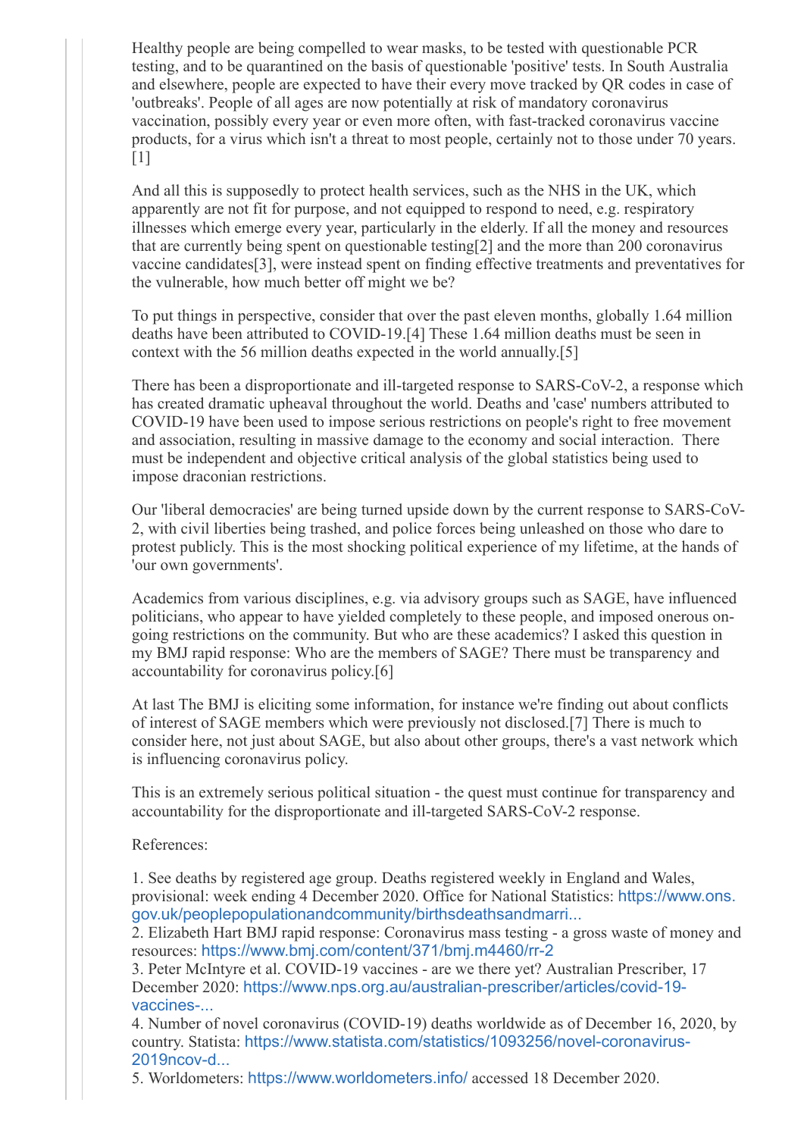Healthy people are being compelled to wear masks, to be tested with questionable PCR testing, and to be quarantined on the basis of questionable 'positive' tests. In South Australia and elsewhere, people are expected to have their every move tracked by QR codes in case of 'outbreaks'. People of all ages are now potentially at risk of mandatory coronavirus vaccination, possibly every year or even more often, with fast-tracked coronavirus vaccine products, for a virus which isn't a threat to most people, certainly not to those under 70 years.  $[1]$ 

And all this is supposedly to protect health services, such as the NHS in the UK, which apparently are not fit for purpose, and not equipped to respond to need, e.g. respiratory illnesses which emerge every year, particularly in the elderly. If all the money and resources that are currently being spent on questionable testing[2] and the more than 200 coronavirus vaccine candidates[3], were instead spent on finding effective treatments and preventatives for the vulnerable, how much better off might we be?

To put things in perspective, consider that over the past eleven months, globally 1.64 million deaths have been attributed to COVID-19.[4] These 1.64 million deaths must be seen in context with the 56 million deaths expected in the world annually.[5]

There has been a disproportionate and ill-targeted response to SARS-CoV-2, a response which has created dramatic upheaval throughout the world. Deaths and 'case' numbers attributed to COVID-19 have been used to impose serious restrictions on people's right to free movement and association, resulting in massive damage to the economy and social interaction. There must be independent and objective critical analysis of the global statistics being used to impose draconian restrictions.

Our 'liberal democracies' are being turned upside down by the current response to SARS-CoV-2, with civil liberties being trashed, and police forces being unleashed on those who dare to protest publicly. This is the most shocking political experience of my lifetime, at the hands of 'our own governments'.

Academics from various disciplines, e.g. via advisory groups such as SAGE, have influenced politicians, who appear to have yielded completely to these people, and imposed onerous ongoing restrictions on the community. But who are these academics? I asked this question in my BMJ rapid response: Who are the members of SAGE? There must be transparency and accountability for coronavirus policy.[6]

At last The BMJ is eliciting some information, for instance we're finding out about conflicts of interest of SAGE members which were previously not disclosed.[7] There is much to consider here, not just about SAGE, but also about other groups, there's a vast network which is influencing coronavirus policy.

This is an extremely serious political situation - the quest must continue for transparency and accountability for the disproportionate and ill-targeted SARS-CoV-2 response.

### References:

1. See deaths by registered age group. Deaths registered weekly in England and Wales, provisional: week ending 4 December 2020. Office for National Statistics: https://www.ons. [gov.uk/peoplepopulationandcommunity/birthsdeathsandmarri...](https://nam12.safelinks.protection.outlook.com/?url=https%3A%2F%2Fwww.ons.gov.uk%2Fpeoplepopulationandcommunity%2Fbirthsdeathsandmarriages%2Fdeaths%2Fbulletins%2Fdeathsregisteredweeklyinenglandandwalesprovisional%2Flatest&data=05%7C01%7C%7Caa2b6a088edc4ee07b0308da3621d875%7C84df9e7fe9f640afb435aaaaaaaaaaaa%7C1%7C0%7C637881816312232665%7CUnknown%7CTWFpbGZsb3d8eyJWIjoiMC4wLjAwMDAiLCJQIjoiV2luMzIiLCJBTiI6Ik1haWwiLCJXVCI6Mn0%3D%7C3000%7C%7C%7C&sdata=t1jfxnDyTBH6qlDNIpddexJEgNDaP91rtYDrhkccblQ%3D&reserved=0)

2. Elizabeth Hart BMJ rapid response: Coronavirus mass testing - a gross waste of money and resources: [https://www.bmj.com/content/371/bmj.m4460/rr-2](https://nam12.safelinks.protection.outlook.com/?url=https%3A%2F%2Fwww.bmj.com%2Fcontent%2F371%2Fbmj.m4460%2Frr-2&data=05%7C01%7C%7Caa2b6a088edc4ee07b0308da3621d875%7C84df9e7fe9f640afb435aaaaaaaaaaaa%7C1%7C0%7C637881816312232665%7CUnknown%7CTWFpbGZsb3d8eyJWIjoiMC4wLjAwMDAiLCJQIjoiV2luMzIiLCJBTiI6Ik1haWwiLCJXVCI6Mn0%3D%7C3000%7C%7C%7C&sdata=%2Bo1pYxyMGAxACgf1nGm912RboLUIEIfNjcki6YY47gA%3D&reserved=0)

3. Peter McIntyre et al. COVID-19 vaccines - are we there yet? Australian Prescriber, 17 December 2020: [https://www.nps.org.au/australian-prescriber/articles/covid-19](https://nam12.safelinks.protection.outlook.com/?url=https%3A%2F%2Fwww.nps.org.au%2Faustralian-prescriber%2Farticles%2Fcovid-19-vaccines-are-we-there-yet&data=05%7C01%7C%7Caa2b6a088edc4ee07b0308da3621d875%7C84df9e7fe9f640afb435aaaaaaaaaaaa%7C1%7C0%7C637881816312232665%7CUnknown%7CTWFpbGZsb3d8eyJWIjoiMC4wLjAwMDAiLCJQIjoiV2luMzIiLCJBTiI6Ik1haWwiLCJXVCI6Mn0%3D%7C3000%7C%7C%7C&sdata=iTCkRpcBVAYDdWUyvk2bocyUkw39YWH%2B%2BsnyBeiDN6M%3D&reserved=0) vaccines-...

4. Number of novel coronavirus (COVID-19) deaths worldwide as of December 16, 2020, by country. Statista: [https://www.statista.com/statistics/1093256/novel-coronavirus-](https://nam12.safelinks.protection.outlook.com/?url=https%3A%2F%2Fwww.statista.com%2Fstatistics%2F1093256%2Fnovel-coronavirus-2019ncov-deaths-worldwide-by-country%2F&data=05%7C01%7C%7Caa2b6a088edc4ee07b0308da3621d875%7C84df9e7fe9f640afb435aaaaaaaaaaaa%7C1%7C0%7C637881816312232665%7CUnknown%7CTWFpbGZsb3d8eyJWIjoiMC4wLjAwMDAiLCJQIjoiV2luMzIiLCJBTiI6Ik1haWwiLCJXVCI6Mn0%3D%7C3000%7C%7C%7C&sdata=r5d7mV3zLRs27i%2Feo0C39PYDW08aace97mFYlXs31qQ%3D&reserved=0)2019ncov-d...

5. Worldometers: [https://www.worldometers.info/](https://nam12.safelinks.protection.outlook.com/?url=https%3A%2F%2Fwww.worldometers.info%2F&data=05%7C01%7C%7Caa2b6a088edc4ee07b0308da3621d875%7C84df9e7fe9f640afb435aaaaaaaaaaaa%7C1%7C0%7C637881816312232665%7CUnknown%7CTWFpbGZsb3d8eyJWIjoiMC4wLjAwMDAiLCJQIjoiV2luMzIiLCJBTiI6Ik1haWwiLCJXVCI6Mn0%3D%7C3000%7C%7C%7C&sdata=XVPtETfJrAjbsw8X0CwEVjPNmmHj41UcJBMPbS7vbcI%3D&reserved=0) accessed 18 December 2020.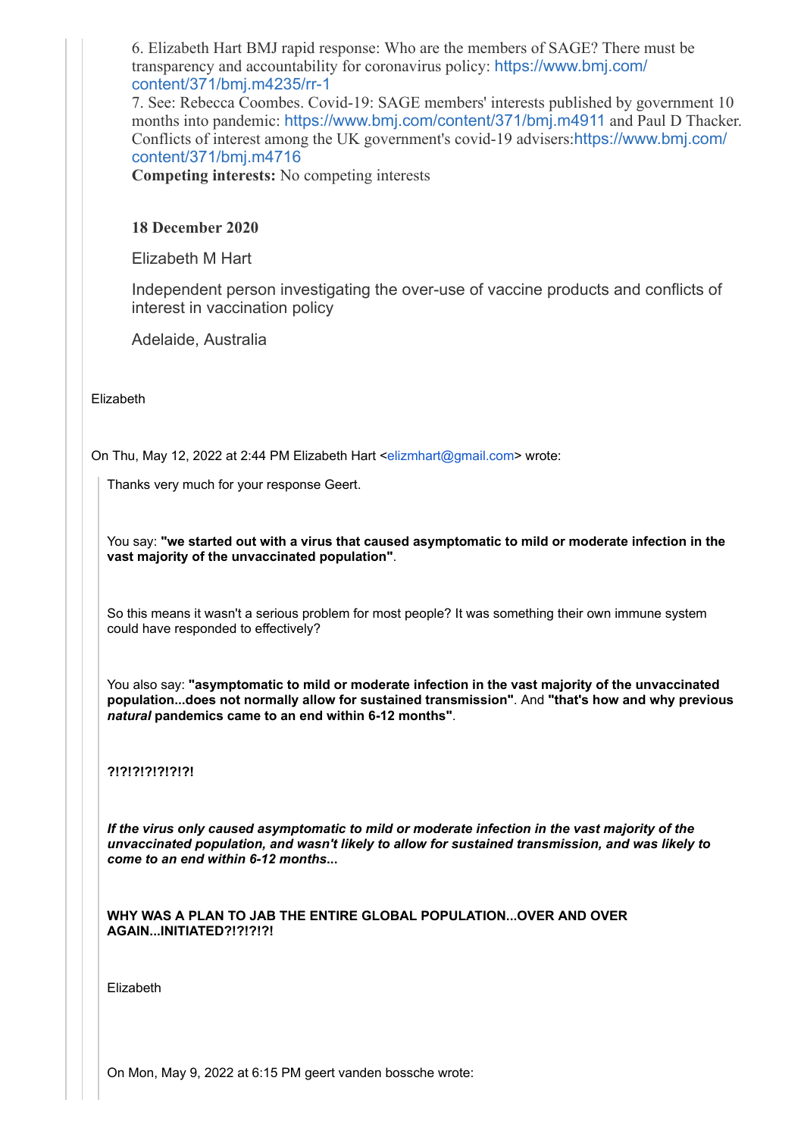6. Elizabeth Hart BMJ rapid response: Who are the members of SAGE? There must be [transparency and accountability for coronavirus policy:](https://nam12.safelinks.protection.outlook.com/?url=https%3A%2F%2Fwww.bmj.com%2Fcontent%2F371%2Fbmj.m4235%2Frr-1&data=05%7C01%7C%7Caa2b6a088edc4ee07b0308da3621d875%7C84df9e7fe9f640afb435aaaaaaaaaaaa%7C1%7C0%7C637881816312232665%7CUnknown%7CTWFpbGZsb3d8eyJWIjoiMC4wLjAwMDAiLCJQIjoiV2luMzIiLCJBTiI6Ik1haWwiLCJXVCI6Mn0%3D%7C3000%7C%7C%7C&sdata=14wKOvo%2BXhd7zXs%2B5k6ohlKALkbHHpuiQ4NXe%2FOErPc%3D&reserved=0) https://www.bmj.com/ content/371/bmj.m4235/rr-1

7. See: Rebecca Coombes. Covid-19: SAGE members' interests published by government 10 months into pandemic: [https://www.bmj.com/content/371/bmj.m4911](https://nam12.safelinks.protection.outlook.com/?url=https%3A%2F%2Fwww.bmj.com%2Fcontent%2F371%2Fbmj.m4911&data=05%7C01%7C%7Caa2b6a088edc4ee07b0308da3621d875%7C84df9e7fe9f640afb435aaaaaaaaaaaa%7C1%7C0%7C637881816312232665%7CUnknown%7CTWFpbGZsb3d8eyJWIjoiMC4wLjAwMDAiLCJQIjoiV2luMzIiLCJBTiI6Ik1haWwiLCJXVCI6Mn0%3D%7C3000%7C%7C%7C&sdata=sN1YaNjV3V875wByEXvZcIcAq6QsIkCnQbaJJDyfAD0%3D&reserved=0) and Paul D Thacker. [Conflicts of interest among the UK government's covid-19 advisers:](https://nam12.safelinks.protection.outlook.com/?url=https%3A%2F%2Fwww.bmj.com%2Fcontent%2F371%2Fbmj.m4716&data=05%7C01%7C%7Caa2b6a088edc4ee07b0308da3621d875%7C84df9e7fe9f640afb435aaaaaaaaaaaa%7C1%7C0%7C637881816312232665%7CUnknown%7CTWFpbGZsb3d8eyJWIjoiMC4wLjAwMDAiLCJQIjoiV2luMzIiLCJBTiI6Ik1haWwiLCJXVCI6Mn0%3D%7C3000%7C%7C%7C&sdata=ykZE1UC6Dn3uAsSbWkXuFKoA%2F7mdo%2F9ISJ0ELMmM3wk%3D&reserved=0)https://www.bmj.com/ content/371/bmj.m4716

**Competing interests:** No competing interests

#### **18 December 2020**

Elizabeth M Hart

Independent person investigating the over-use of vaccine products and conflicts of interest in vaccination policy

Adelaide, Australia

Elizabeth

On Thu, May 12, 2022 at 2:44 PM Elizabeth Hart <[elizmhart@gmail.com>](mailto:elizmhart@gmail.com) wrote:

Thanks very much for your response Geert.

You say: **"we started out with a virus that caused asymptomatic to mild or moderate infection in the vast majority of the unvaccinated population"**.

So this means it wasn't a serious problem for most people? It was something their own immune system could have responded to effectively?

You also say: **"asymptomatic to mild or moderate infection in the vast majority of the unvaccinated population...does not normally allow for sustained transmission"**. And **"that's how and why previous** *natural* **pandemics came to an end within 6-12 months"**.

#### **?!?!?!?!?!?!?!**

*If the virus only caused asymptomatic to mild or moderate infection in the vast majority of the unvaccinated population, and wasn't likely to allow for sustained transmission, and was likely to come to an end within 6-12 months***...**

**WHY WAS A PLAN TO JAB THE ENTIRE GLOBAL POPULATION...OVER AND OVER AGAIN...INITIATED?!?!?!?!**

Elizabeth

On Mon, May 9, 2022 at 6:15 PM geert vanden bossche wrote: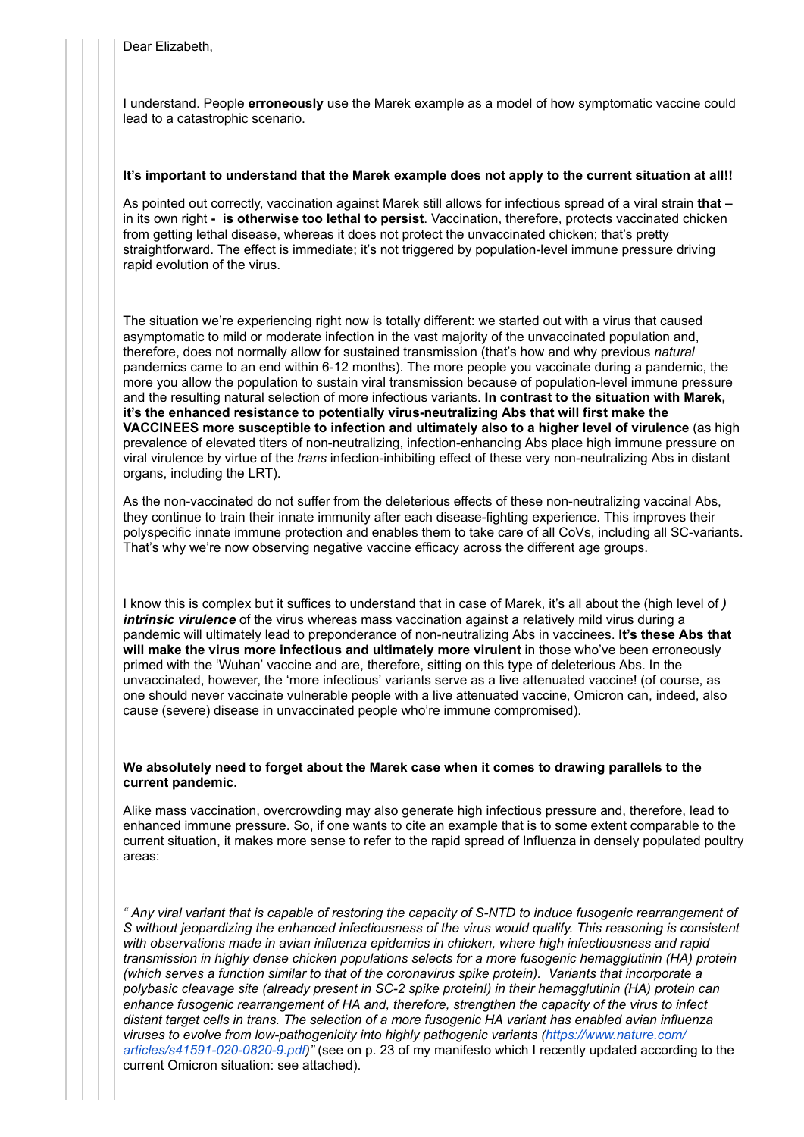I understand. People **erroneously** use the Marek example as a model of how symptomatic vaccine could lead to a catastrophic scenario.

#### **It's important to understand that the Marek example does not apply to the current situation at all!!**

As pointed out correctly, vaccination against Marek still allows for infectious spread of a viral strain **that –** in its own right **- is otherwise too lethal to persist**. Vaccination, therefore, protects vaccinated chicken from getting lethal disease, whereas it does not protect the unvaccinated chicken; that's pretty straightforward. The effect is immediate; it's not triggered by population-level immune pressure driving rapid evolution of the virus.

The situation we're experiencing right now is totally different: we started out with a virus that caused asymptomatic to mild or moderate infection in the vast majority of the unvaccinated population and, therefore, does not normally allow for sustained transmission (that's how and why previous *natural* pandemics came to an end within 6-12 months). The more people you vaccinate during a pandemic, the more you allow the population to sustain viral transmission because of population-level immune pressure and the resulting natural selection of more infectious variants. **In contrast to the situation with Marek, it's the enhanced resistance to potentially virus-neutralizing Abs that will first make the VACCINEES more susceptible to infection and ultimately also to a higher level of virulence** (as high prevalence of elevated titers of non-neutralizing, infection-enhancing Abs place high immune pressure on viral virulence by virtue of the *trans* infection-inhibiting effect of these very non-neutralizing Abs in distant organs, including the LRT).

As the non-vaccinated do not suffer from the deleterious effects of these non-neutralizing vaccinal Abs, they continue to train their innate immunity after each disease-fighting experience. This improves their polyspecific innate immune protection and enables them to take care of all CoVs, including all SC-variants. That's why we're now observing negative vaccine efficacy across the different age groups.

I know this is complex but it suffices to understand that in case of Marek, it's all about the (high level of *) intrinsic virulence* of the virus whereas mass vaccination against a relatively mild virus during a pandemic will ultimately lead to preponderance of non-neutralizing Abs in vaccinees. **It's these Abs that will make the virus more infectious and ultimately more virulent** in those who've been erroneously primed with the 'Wuhan' vaccine and are, therefore, sitting on this type of deleterious Abs. In the unvaccinated, however, the 'more infectious' variants serve as a live attenuated vaccine! (of course, as one should never vaccinate vulnerable people with a live attenuated vaccine, Omicron can, indeed, also cause (severe) disease in unvaccinated people who're immune compromised).

#### **We absolutely need to forget about the Marek case when it comes to drawing parallels to the current pandemic.**

Alike mass vaccination, overcrowding may also generate high infectious pressure and, therefore, lead to enhanced immune pressure. So, if one wants to cite an example that is to some extent comparable to the current situation, it makes more sense to refer to the rapid spread of Influenza in densely populated poultry areas:

*" Any viral variant that is capable of restoring the capacity of S-NTD to induce fusogenic rearrangement of S without jeopardizing the enhanced infectiousness of the virus would qualify. This reasoning is consistent with observations made in avian influenza epidemics in chicken, where high infectiousness and rapid transmission in highly dense chicken populations selects for a more fusogenic hemagglutinin (HA) protein (which serves a function similar to that of the coronavirus spike protein). Variants that incorporate a polybasic cleavage site (already present in SC-2 spike protein!) in their hemagglutinin (HA) protein can enhance fusogenic rearrangement of HA and, therefore, strengthen the capacity of the virus to infect distant target cells in trans. The selection of a more fusogenic HA variant has enabled avian influenza [viruses to evolve from low-pathogenicity into highly pathogenic variants \(https://www.nature.com/](https://nam12.safelinks.protection.outlook.com/?url=https%3A%2F%2Fwww.nature.com%2Farticles%2Fs41591-020-0820-9.pdf&data=05%7C01%7C%7Caa2b6a088edc4ee07b0308da3621d875%7C84df9e7fe9f640afb435aaaaaaaaaaaa%7C1%7C0%7C637881816312232665%7CUnknown%7CTWFpbGZsb3d8eyJWIjoiMC4wLjAwMDAiLCJQIjoiV2luMzIiLCJBTiI6Ik1haWwiLCJXVCI6Mn0%3D%7C3000%7C%7C%7C&sdata=eR%2FzQVcsQc87l%2BxTQ9pjM5CdCygSK5b7i2tkjOb1pIc%3D&reserved=0) articles/s41591-020-0820-9.pdf)"* (see on p. 23 of my manifesto which I recently updated according to the current Omicron situation: see attached).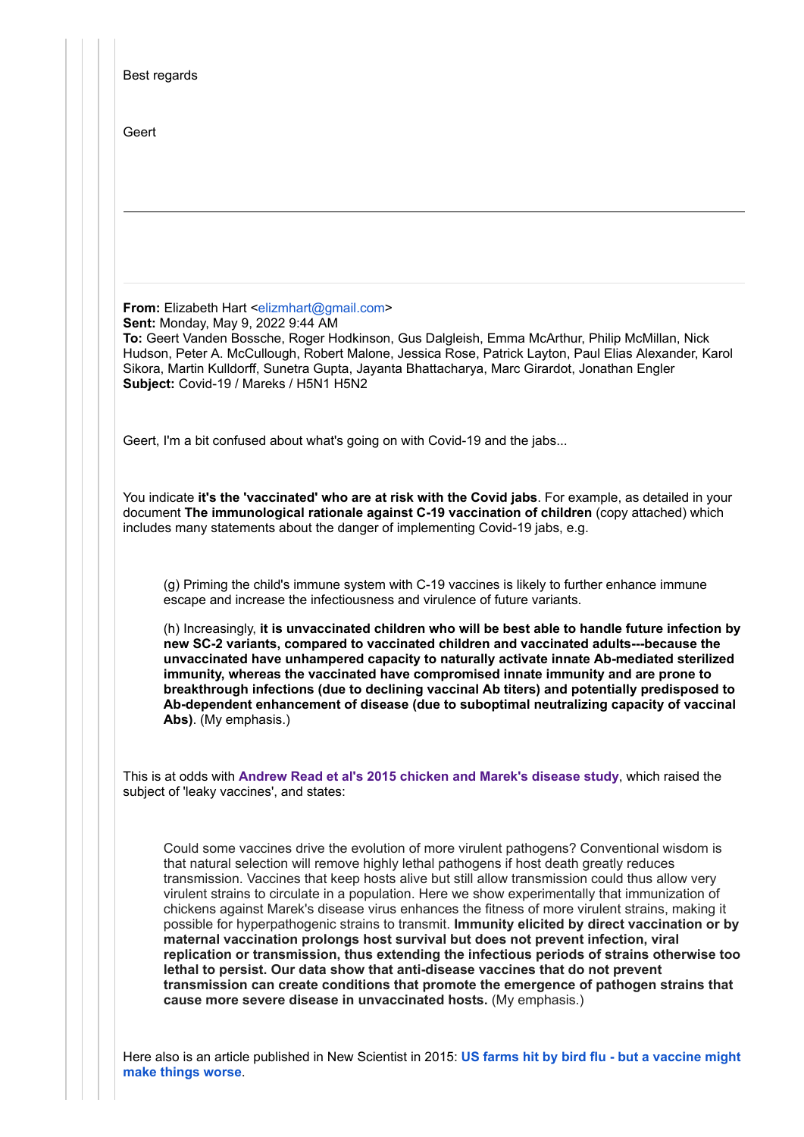| Geert<br>From: Elizabeth Hart <elizmhart@gmail.com><br/>Sent: Monday, May 9, 2022 9:44 AM<br/>To: Geert Vanden Bossche, Roger Hodkinson, Gus Dalgleish, Emma McArthur, Philip McMillan, Nick<br/>Hudson, Peter A. McCullough, Robert Malone, Jessica Rose, Patrick Layton, Paul Elias Alexander, Karol<br/>Sikora, Martin Kulldorff, Sunetra Gupta, Jayanta Bhattacharya, Marc Girardot, Jonathan Engler<br/>Subject: Covid-19 / Mareks / H5N1 H5N2<br/>Geert, I'm a bit confused about what's going on with Covid-19 and the jabs<br/>You indicate it's the 'vaccinated' who are at risk with the Covid jabs. For example, as detailed in your<br/>document The immunological rationale against C-19 vaccination of children (copy attached) which<br/>includes many statements about the danger of implementing Covid-19 jabs, e.g.<br/>(g) Priming the child's immune system with C-19 vaccines is likely to further enhance immune<br/>escape and increase the infectiousness and virulence of future variants.<br/>(h) Increasingly, it is unvaccinated children who will be best able to handle future infection by<br/>new SC-2 variants, compared to vaccinated children and vaccinated adults---because the</elizmhart@gmail.com> |  |
|--------------------------------------------------------------------------------------------------------------------------------------------------------------------------------------------------------------------------------------------------------------------------------------------------------------------------------------------------------------------------------------------------------------------------------------------------------------------------------------------------------------------------------------------------------------------------------------------------------------------------------------------------------------------------------------------------------------------------------------------------------------------------------------------------------------------------------------------------------------------------------------------------------------------------------------------------------------------------------------------------------------------------------------------------------------------------------------------------------------------------------------------------------------------------------------------------------------------------------------------|--|
|                                                                                                                                                                                                                                                                                                                                                                                                                                                                                                                                                                                                                                                                                                                                                                                                                                                                                                                                                                                                                                                                                                                                                                                                                                            |  |
|                                                                                                                                                                                                                                                                                                                                                                                                                                                                                                                                                                                                                                                                                                                                                                                                                                                                                                                                                                                                                                                                                                                                                                                                                                            |  |
|                                                                                                                                                                                                                                                                                                                                                                                                                                                                                                                                                                                                                                                                                                                                                                                                                                                                                                                                                                                                                                                                                                                                                                                                                                            |  |
|                                                                                                                                                                                                                                                                                                                                                                                                                                                                                                                                                                                                                                                                                                                                                                                                                                                                                                                                                                                                                                                                                                                                                                                                                                            |  |
|                                                                                                                                                                                                                                                                                                                                                                                                                                                                                                                                                                                                                                                                                                                                                                                                                                                                                                                                                                                                                                                                                                                                                                                                                                            |  |
|                                                                                                                                                                                                                                                                                                                                                                                                                                                                                                                                                                                                                                                                                                                                                                                                                                                                                                                                                                                                                                                                                                                                                                                                                                            |  |
|                                                                                                                                                                                                                                                                                                                                                                                                                                                                                                                                                                                                                                                                                                                                                                                                                                                                                                                                                                                                                                                                                                                                                                                                                                            |  |
|                                                                                                                                                                                                                                                                                                                                                                                                                                                                                                                                                                                                                                                                                                                                                                                                                                                                                                                                                                                                                                                                                                                                                                                                                                            |  |
|                                                                                                                                                                                                                                                                                                                                                                                                                                                                                                                                                                                                                                                                                                                                                                                                                                                                                                                                                                                                                                                                                                                                                                                                                                            |  |
|                                                                                                                                                                                                                                                                                                                                                                                                                                                                                                                                                                                                                                                                                                                                                                                                                                                                                                                                                                                                                                                                                                                                                                                                                                            |  |
|                                                                                                                                                                                                                                                                                                                                                                                                                                                                                                                                                                                                                                                                                                                                                                                                                                                                                                                                                                                                                                                                                                                                                                                                                                            |  |
|                                                                                                                                                                                                                                                                                                                                                                                                                                                                                                                                                                                                                                                                                                                                                                                                                                                                                                                                                                                                                                                                                                                                                                                                                                            |  |
|                                                                                                                                                                                                                                                                                                                                                                                                                                                                                                                                                                                                                                                                                                                                                                                                                                                                                                                                                                                                                                                                                                                                                                                                                                            |  |
|                                                                                                                                                                                                                                                                                                                                                                                                                                                                                                                                                                                                                                                                                                                                                                                                                                                                                                                                                                                                                                                                                                                                                                                                                                            |  |
|                                                                                                                                                                                                                                                                                                                                                                                                                                                                                                                                                                                                                                                                                                                                                                                                                                                                                                                                                                                                                                                                                                                                                                                                                                            |  |
|                                                                                                                                                                                                                                                                                                                                                                                                                                                                                                                                                                                                                                                                                                                                                                                                                                                                                                                                                                                                                                                                                                                                                                                                                                            |  |
|                                                                                                                                                                                                                                                                                                                                                                                                                                                                                                                                                                                                                                                                                                                                                                                                                                                                                                                                                                                                                                                                                                                                                                                                                                            |  |
|                                                                                                                                                                                                                                                                                                                                                                                                                                                                                                                                                                                                                                                                                                                                                                                                                                                                                                                                                                                                                                                                                                                                                                                                                                            |  |
|                                                                                                                                                                                                                                                                                                                                                                                                                                                                                                                                                                                                                                                                                                                                                                                                                                                                                                                                                                                                                                                                                                                                                                                                                                            |  |
| unvaccinated have unhampered capacity to naturally activate innate Ab-mediated sterilized                                                                                                                                                                                                                                                                                                                                                                                                                                                                                                                                                                                                                                                                                                                                                                                                                                                                                                                                                                                                                                                                                                                                                  |  |
| immunity, whereas the vaccinated have compromised innate immunity and are prone to<br>breakthrough infections (due to declining vaccinal Ab titers) and potentially predisposed to                                                                                                                                                                                                                                                                                                                                                                                                                                                                                                                                                                                                                                                                                                                                                                                                                                                                                                                                                                                                                                                         |  |
| Ab-dependent enhancement of disease (due to suboptimal neutralizing capacity of vaccinal<br>Abs). (My emphasis.)                                                                                                                                                                                                                                                                                                                                                                                                                                                                                                                                                                                                                                                                                                                                                                                                                                                                                                                                                                                                                                                                                                                           |  |
|                                                                                                                                                                                                                                                                                                                                                                                                                                                                                                                                                                                                                                                                                                                                                                                                                                                                                                                                                                                                                                                                                                                                                                                                                                            |  |
| This is at odds with Andrew Read et al's 2015 chicken and Marek's disease study, which raised the                                                                                                                                                                                                                                                                                                                                                                                                                                                                                                                                                                                                                                                                                                                                                                                                                                                                                                                                                                                                                                                                                                                                          |  |
| subject of 'leaky vaccines', and states:                                                                                                                                                                                                                                                                                                                                                                                                                                                                                                                                                                                                                                                                                                                                                                                                                                                                                                                                                                                                                                                                                                                                                                                                   |  |
|                                                                                                                                                                                                                                                                                                                                                                                                                                                                                                                                                                                                                                                                                                                                                                                                                                                                                                                                                                                                                                                                                                                                                                                                                                            |  |
| Could some vaccines drive the evolution of more virulent pathogens? Conventional wisdom is                                                                                                                                                                                                                                                                                                                                                                                                                                                                                                                                                                                                                                                                                                                                                                                                                                                                                                                                                                                                                                                                                                                                                 |  |
| that natural selection will remove highly lethal pathogens if host death greatly reduces<br>transmission. Vaccines that keep hosts alive but still allow transmission could thus allow very                                                                                                                                                                                                                                                                                                                                                                                                                                                                                                                                                                                                                                                                                                                                                                                                                                                                                                                                                                                                                                                |  |
| virulent strains to circulate in a population. Here we show experimentally that immunization of                                                                                                                                                                                                                                                                                                                                                                                                                                                                                                                                                                                                                                                                                                                                                                                                                                                                                                                                                                                                                                                                                                                                            |  |
| chickens against Marek's disease virus enhances the fitness of more virulent strains, making it<br>possible for hyperpathogenic strains to transmit. Immunity elicited by direct vaccination or by                                                                                                                                                                                                                                                                                                                                                                                                                                                                                                                                                                                                                                                                                                                                                                                                                                                                                                                                                                                                                                         |  |
| maternal vaccination prolongs host survival but does not prevent infection, viral                                                                                                                                                                                                                                                                                                                                                                                                                                                                                                                                                                                                                                                                                                                                                                                                                                                                                                                                                                                                                                                                                                                                                          |  |
| replication or transmission, thus extending the infectious periods of strains otherwise too                                                                                                                                                                                                                                                                                                                                                                                                                                                                                                                                                                                                                                                                                                                                                                                                                                                                                                                                                                                                                                                                                                                                                |  |
| lethal to persist. Our data show that anti-disease vaccines that do not prevent<br>transmission can create conditions that promote the emergence of pathogen strains that                                                                                                                                                                                                                                                                                                                                                                                                                                                                                                                                                                                                                                                                                                                                                                                                                                                                                                                                                                                                                                                                  |  |
| cause more severe disease in unvaccinated hosts. (My emphasis.)                                                                                                                                                                                                                                                                                                                                                                                                                                                                                                                                                                                                                                                                                                                                                                                                                                                                                                                                                                                                                                                                                                                                                                            |  |
|                                                                                                                                                                                                                                                                                                                                                                                                                                                                                                                                                                                                                                                                                                                                                                                                                                                                                                                                                                                                                                                                                                                                                                                                                                            |  |